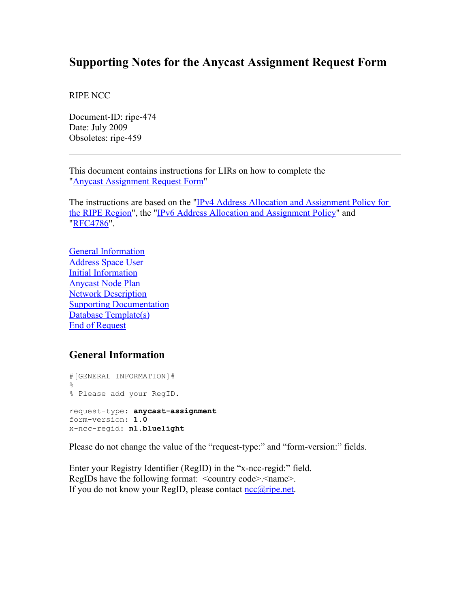# **Supporting Notes for the Anycast Assignment Request Form**

RIPE NCC

Document-ID: ripe-474 Date: July 2009 Obsoletes: ripe-459

This document contains instructions for LIRs on how to complete the ["Anycast Assignment Request Form"](http://www.ripe.net/ripe/docs/anycast-request.html)

The instructions are based on the "IPv4 Address Allocation and Assignment Policy for [the RIPE Region"](http://www.ripe.net/ripe/docs/ipv4-policies.html), the ["IPv6 Address Allocation and Assignment Policy"](http://www.ripe.net/ripe/docs/ipv6policy.html) and ["RFC4786"](http://www.ietf.org/rfc/rfc4786.txt).

[General Information](#page-0-0) [Address Space User](#page-1-0) [Initial Information](#page-2-0) [Anycast Node Plan](#page-3-1) [Network Description](#page-3-0) [Supporting Documentation](#page-4-1) [Database Template\(s\)](#page-4-0) [End of Request](#page-6-0)

## <span id="page-0-0"></span>**General Information**

#[GENERAL INFORMATION]# % % Please add your RegID. request-type: **anycast-assignment** form-version: **1.0** x-ncc-regid: **nl.bluelight**

Please do not change the value of the "request-type:" and "form-version:" fields.

Enter your Registry Identifier (RegID) in the "x-ncc-regid:" field. RegIDs have the following format: <country code>.<name>. If you do not know your RegID, please contact  $\frac{nc@ripe.net}{l}$ .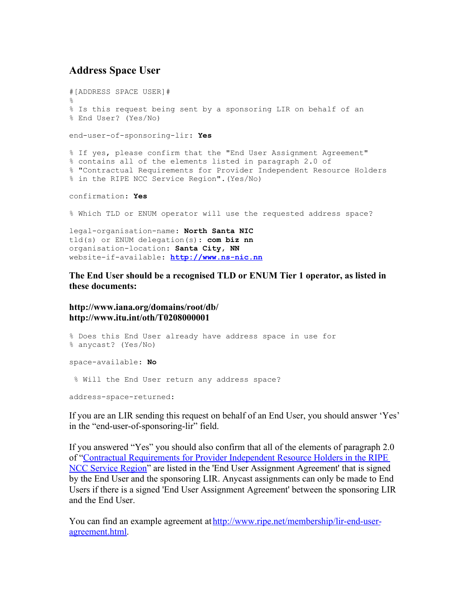#### <span id="page-1-0"></span>**Address Space User**

```
#[ADDRESS SPACE USER]#
\approx% Is this request being sent by a sponsoring LIR on behalf of an 
% End User? (Yes/No)
end-user-of-sponsoring-lir: Yes
% If yes, please confirm that the "End User Assignment Agreement" 
% contains all of the elements listed in paragraph 2.0 of 
% "Contractual Requirements for Provider Independent Resource Holders 
% in the RIPE NCC Service Region".(Yes/No)
confirmation: Yes
% Which TLD or ENUM operator will use the requested address space?
```
legal-organisation-name: **North Santa NIC** tld(s) or ENUM delegation(s): **com biz nn** organisation-location: **Santa City, NN** website-if-available: **[http://www.ns-nic.nn](http://www.ns-nic.nn/)**

**The End User should be a recognised TLD or ENUM Tier 1 operator, as listed in these documents:**

**http://www.iana.org/domains/root/db/ http://www.itu.int/oth/T0208000001**

```
% Does this End User already have address space in use for
% anycast? (Yes/No)
space-available: No
 % Will the End User return any address space?
address-space-returned:
```
If you are an LIR sending this request on behalf of an End User, you should answer 'Yes' in the "end-user-of-sponsoring-lir" field.

If you answered "Yes" you should also confirm that all of the elements of paragraph 2.0 of ["Contractual Requirements for Provider Independent Resource Holders in the RIPE](http://www.ripe.net/ripe/docs/contract-req.html) [NCC Service Region"](http://www.ripe.net/ripe/docs/contract-req.html) are listed in the 'End User Assignment Agreement' that is signed by the End User and the sponsoring LIR. Anycast assignments can only be made to End Users if there is a signed 'End User Assignment Agreement' between the sponsoring LIR and the End User.

You can find an example agreement at [http://www.ripe.net/membership/lir-end-user](http://www.ripe.net/membership/lir-end-user-agreement.html)[agreement.html.](http://www.ripe.net/membership/lir-end-user-agreement.html)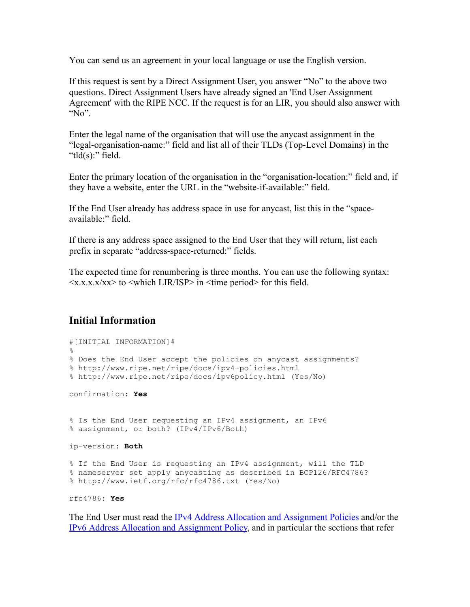You can send us an agreement in your local language or use the English version.

If this request is sent by a Direct Assignment User, you answer "No" to the above two questions. Direct Assignment Users have already signed an 'End User Assignment Agreement' with the RIPE NCC. If the request is for an LIR, you should also answer with " $No$ ".

Enter the legal name of the organisation that will use the anycast assignment in the "legal-organisation-name:" field and list all of their TLDs (Top-Level Domains) in the " $tld(s)$ :" field.

Enter the primary location of the organisation in the "organisation-location:" field and, if they have a website, enter the URL in the "website-if-available:" field.

If the End User already has address space in use for anycast, list this in the "spaceavailable:" field.

If there is any address space assigned to the End User that they will return, list each prefix in separate "address-space-returned:" fields.

The expected time for renumbering is three months. You can use the following syntax:  $\langle x.x.x.x/xx \rangle$  to  $\langle$ which LIR/ISP $>$  in  $\langle$  time period $>$  for this field.

## <span id="page-2-0"></span>**Initial Information**

```
#[INITIAL INFORMATION]#
%
% Does the End User accept the policies on anycast assignments?
% http://www.ripe.net/ripe/docs/ipv4-policies.html
% http://www.ripe.net/ripe/docs/ipv6policy.html (Yes/No)
confirmation: Yes
% Is the End User requesting an IPv4 assignment, an IPv6 
% assignment, or both? (IPv4/IPv6/Both)
ip-version: Both
% If the End User is requesting an IPv4 assignment, will the TLD
% nameserver set apply anycasting as described in BCP126/RFC4786?
% http://www.ietf.org/rfc/rfc4786.txt (Yes/No)
rfc4786: Yes
```
The End User must read the [IPv4 Address Allocation and Assignment Policies](http://www.ripe.net/ripe/docs/ipv4-policies.html) and/or the [IPv6 Address Allocation and Assignment Policy,](http://www.ripe.net/ripe/docs/ipv6-policy.html) and in particular the sections that refer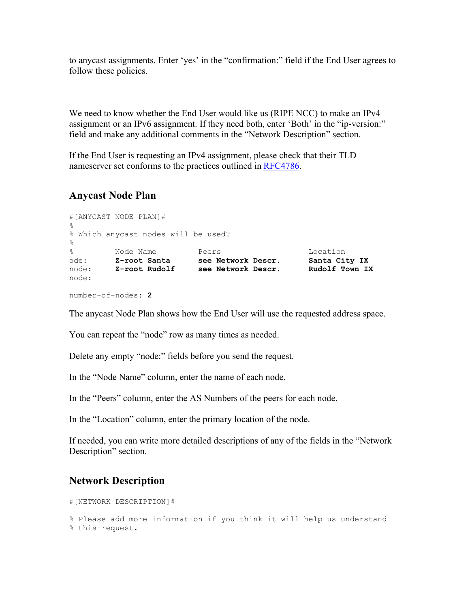to anycast assignments. Enter 'yes' in the "confirmation:" field if the End User agrees to follow these policies.

We need to know whether the End User would like us (RIPE NCC) to make an IPv4 assignment or an IPv6 assignment. If they need both, enter 'Both' in the "ip-version:" field and make any additional comments in the "Network Description" section.

If the End User is requesting an IPv4 assignment, please check that their TLD nameserver set conforms to the practices outlined in RFC4786.

### <span id="page-3-1"></span>**Anycast Node Plan**

#[ANYCAST NODE PLAN]# % % Which anycast nodes will be used?  $\approx$ % Node Name Peers Location ode: **Z-root Santa see Network Descr. Santa City IX** node: **Z-root Rudolf see Network Descr. Rudolf Town IX** node:

```
number-of-nodes: 2
```
The anycast Node Plan shows how the End User will use the requested address space.

You can repeat the "node" row as many times as needed.

Delete any empty "node:" fields before you send the request.

In the "Node Name" column, enter the name of each node.

In the "Peers" column, enter the AS Numbers of the peers for each node.

In the "Location" column, enter the primary location of the node.

If needed, you can write more detailed descriptions of any of the fields in the "Network Description" section.

## <span id="page-3-0"></span>**Network Description**

```
#[NETWORK DESCRIPTION]#
% Please add more information if you think it will help us understand
% this request.
```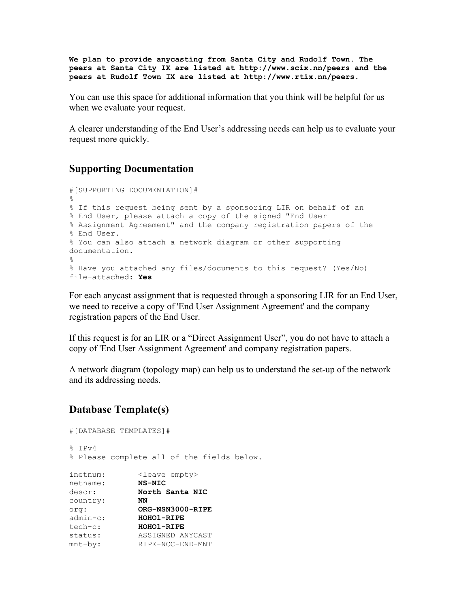**We plan to provide anycasting from Santa City and Rudolf Town. The peers at Santa City IX are listed at http://www.scix.nn/peers and the peers at Rudolf Town IX are listed at http://www.rtix.nn/peers.**

You can use this space for additional information that you think will be helpful for us when we evaluate your request.

A clearer understanding of the End User's addressing needs can help us to evaluate your request more quickly.

#### <span id="page-4-1"></span>**Supporting Documentation**

```
#[SUPPORTING DOCUMENTATION]#
\approx% If this request being sent by a sponsoring LIR on behalf of an 
% End User, please attach a copy of the signed "End User 
% Assignment Agreement" and the company registration papers of the 
% End User.
% You can also attach a network diagram or other supporting
documentation.
%
% Have you attached any files/documents to this request? (Yes/No)
file-attached: Yes
```
For each anycast assignment that is requested through a sponsoring LIR for an End User, we need to receive a copy of 'End User Assignment Agreement' and the company registration papers of the End User.

If this request is for an LIR or a "Direct Assignment User", you do not have to attach a copy of 'End User Assignment Agreement' and company registration papers.

A network diagram (topology map) can help us to understand the set-up of the network and its addressing needs.

## <span id="page-4-0"></span>**Database Template(s)**

```
#[DATABASE TEMPLATES]#
% IPv4
% Please complete all of the fields below.
inetnum: <leave empty>
netname: NS-NIC
descr: North Santa NIC
des<sub>ut</sub>.<br>country:
country: NN<br>
org: ORG-NSN3000-RIPE<br>
admin-c: HOHO1-RIPE
admin-c:<br>tech-c:
               tech-c: HOHO1-RIPE
status: ASSIGNED ANYCAST
mnt-by: RIPE-NCC-END-MNT
```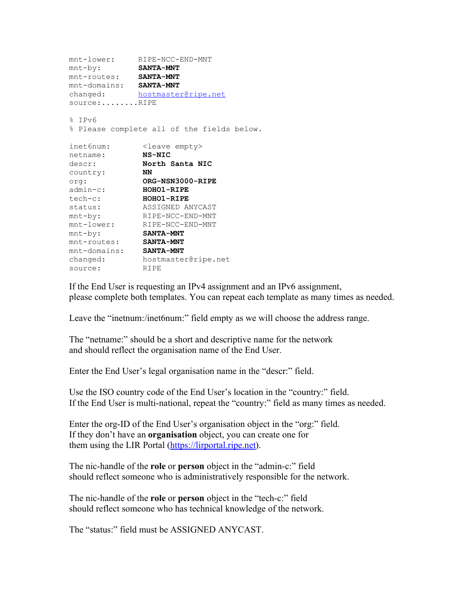```
mnt-lower: RIPE-NCC-END-MNT
mnt-by: SANTA-MNT
mnt-routes: SANTA-MNT
mnt-domains: SANTA-MNT
hostmaster@ripe.net
source:........RIPE
% IPv6
% Please complete all of the fields below.
inet6num: <leave empty>
netname: NS-NIC
descr: North Santa NIC
country: NN
org: ORG-NSN3000-RIPE
admin-c: HOHO1-RIPE
tech-c: HOHO1-RIPE
status: ASSIGNED ANYCAST
mnt-by: RIPE-NCC-END-MNT
mnt-lower: RIPE-NCC-END-MNT
mnt-by: SANTA-MNT
mnt-routes: SANTA-MNT
mnt-domains: SANTA-MNT
changed: hostmaster@ripe.net
source: RIPE
```
If the End User is requesting an IPv4 assignment and an IPv6 assignment, please complete both templates. You can repeat each template as many times as needed.

Leave the "inetnum:/inet6num:" field empty as we will choose the address range.

The "netname:" should be a short and descriptive name for the network and should reflect the organisation name of the End User.

Enter the End User's legal organisation name in the "descr:" field.

Use the ISO country code of the End User's location in the "country:" field. If the End User is multi-national, repeat the "country:" field as many times as needed.

Enter the org-ID of the End User's organisation object in the "org:" field. If they don't have an **organisation** object, you can create one for them using the LIR Portal [\(https://lirportal.ripe.net\)](https://lirportal.ripe.net/).

The nic-handle of the **role** or **person** object in the "admin-c:" field should reflect someone who is administratively responsible for the network.

The nic-handle of the **role** or **person** object in the "tech-c:" field should reflect someone who has technical knowledge of the network.

The "status:" field must be ASSIGNED ANYCAST.